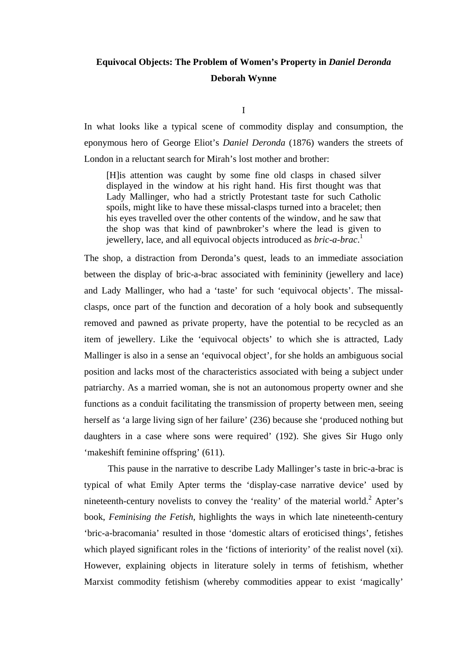# **Equivocal Objects: The Problem of Women's Property in** *Daniel Deronda* **Deborah Wynne**

I

In what looks like a typical scene of commodity display and consumption, the eponymous hero of George Eliot's *Daniel Deronda* (1876) wanders the streets of London in a reluctant search for Mirah's lost mother and brother:

[H]is attention was caught by some fine old clasps in chased silver displayed in the window at his right hand. His first thought was that Lady Mallinger, who had a strictly Protestant taste for such Catholic spoils, might like to have these missal-clasps turned into a bracelet; then his eyes travelled over the other contents of the window, and he saw that the shop was that kind of pawnbroker's where the lead is given to jewellery, lace, and all equivocal objects introduced as *bric-a-brac*. 1

The shop, a distraction from Deronda's quest, leads to an immediate association between the display of bric-a-brac associated with femininity (jewellery and lace) and Lady Mallinger, who had a 'taste' for such 'equivocal objects'. The missalclasps, once part of the function and decoration of a holy book and subsequently removed and pawned as private property, have the potential to be recycled as an item of jewellery. Like the 'equivocal objects' to which she is attracted, Lady Mallinger is also in a sense an 'equivocal object', for she holds an ambiguous social position and lacks most of the characteristics associated with being a subject under patriarchy. As a married woman, she is not an autonomous property owner and she functions as a conduit facilitating the transmission of property between men, seeing herself as 'a large living sign of her failure' (236) because she 'produced nothing but daughters in a case where sons were required' (192). She gives Sir Hugo only 'makeshift feminine offspring' (611).

This pause in the narrative to describe Lady Mallinger's taste in bric-a-brac is typical of what Emily Apter terms the 'display-case narrative device' used by nineteenth-century novelists to convey the 'reality' of the material world.<sup>2</sup> Apter's book, *Feminising the Fetish*, highlights the ways in which late nineteenth-century 'bric-a-bracomania' resulted in those 'domestic altars of eroticised things', fetishes which played significant roles in the 'fictions of interiority' of the realist novel (xi). However, explaining objects in literature solely in terms of fetishism, whether Marxist commodity fetishism (whereby commodities appear to exist 'magically'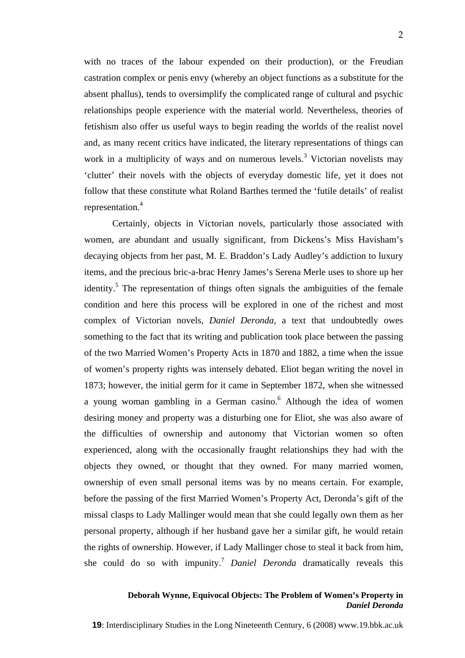with no traces of the labour expended on their production), or the Freudian castration complex or penis envy (whereby an object functions as a substitute for the absent phallus), tends to oversimplify the complicated range of cultural and psychic relationships people experience with the material world. Nevertheless, theories of fetishism also offer us useful ways to begin reading the worlds of the realist novel and, as many recent critics have indicated, the literary representations of things can work in a multiplicity of ways and on numerous levels.<sup>3</sup> Victorian novelists may 'clutter' their novels with the objects of everyday domestic life, yet it does not follow that these constitute what Roland Barthes termed the 'futile details' of realist representation.<sup>4</sup>

Certainly, objects in Victorian novels, particularly those associated with women, are abundant and usually significant, from Dickens's Miss Havisham's decaying objects from her past, M. E. Braddon's Lady Audley's addiction to luxury items, and the precious bric-a-brac Henry James's Serena Merle uses to shore up her identity.<sup>5</sup> The representation of things often signals the ambiguities of the female condition and here this process will be explored in one of the richest and most complex of Victorian novels, *Daniel Deronda*, a text that undoubtedly owes something to the fact that its writing and publication took place between the passing of the two Married Women's Property Acts in 1870 and 1882, a time when the issue of women's property rights was intensely debated. Eliot began writing the novel in 1873; however, the initial germ for it came in September 1872, when she witnessed a young woman gambling in a German casino.<sup>6</sup> Although the idea of women desiring money and property was a disturbing one for Eliot, she was also aware of the difficulties of ownership and autonomy that Victorian women so often experienced, along with the occasionally fraught relationships they had with the objects they owned, or thought that they owned. For many married women, ownership of even small personal items was by no means certain. For example, before the passing of the first Married Women's Property Act, Deronda's gift of the missal clasps to Lady Mallinger would mean that she could legally own them as her personal property, although if her husband gave her a similar gift, he would retain the rights of ownership. However, if Lady Mallinger chose to steal it back from him, she could do so with impunity.7 *Daniel Deronda* dramatically reveals this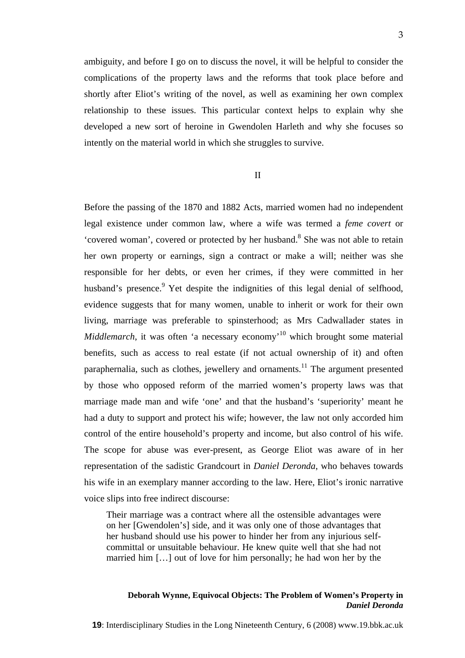ambiguity, and before I go on to discuss the novel, it will be helpful to consider the complications of the property laws and the reforms that took place before and shortly after Eliot's writing of the novel, as well as examining her own complex relationship to these issues. This particular context helps to explain why she developed a new sort of heroine in Gwendolen Harleth and why she focuses so intently on the material world in which she struggles to survive.

II

Before the passing of the 1870 and 1882 Acts, married women had no independent legal existence under common law, where a wife was termed a *feme covert* or 'covered woman', covered or protected by her husband.<sup>8</sup> She was not able to retain her own property or earnings, sign a contract or make a will; neither was she responsible for her debts, or even her crimes, if they were committed in her husband's presence.<sup>9</sup> Yet despite the indignities of this legal denial of selfhood, evidence suggests that for many women, unable to inherit or work for their own living, marriage was preferable to spinsterhood; as Mrs Cadwallader states in *Middlemarch*, it was often 'a necessary economy<sup>'10</sup> which brought some material benefits, such as access to real estate (if not actual ownership of it) and often paraphernalia, such as clothes, jewellery and ornaments.<sup>11</sup> The argument presented by those who opposed reform of the married women's property laws was that marriage made man and wife 'one' and that the husband's 'superiority' meant he had a duty to support and protect his wife; however, the law not only accorded him control of the entire household's property and income, but also control of his wife. The scope for abuse was ever-present, as George Eliot was aware of in her representation of the sadistic Grandcourt in *Daniel Deronda*, who behaves towards his wife in an exemplary manner according to the law. Here, Eliot's ironic narrative voice slips into free indirect discourse:

Their marriage was a contract where all the ostensible advantages were on her [Gwendolen's] side, and it was only one of those advantages that her husband should use his power to hinder her from any injurious selfcommittal or unsuitable behaviour. He knew quite well that she had not married him […] out of love for him personally; he had won her by the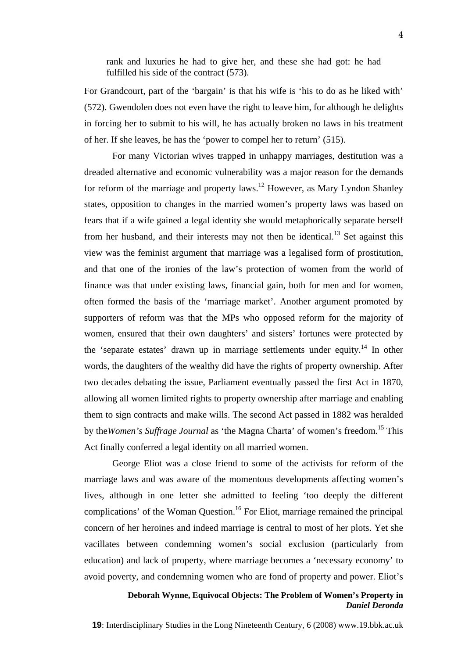rank and luxuries he had to give her, and these she had got: he had fulfilled his side of the contract (573).

For Grandcourt, part of the 'bargain' is that his wife is 'his to do as he liked with' (572). Gwendolen does not even have the right to leave him, for although he delights in forcing her to submit to his will, he has actually broken no laws in his treatment of her. If she leaves, he has the 'power to compel her to return' (515).

For many Victorian wives trapped in unhappy marriages, destitution was a dreaded alternative and economic vulnerability was a major reason for the demands for reform of the marriage and property laws.<sup>12</sup> However, as Mary Lyndon Shanley states, opposition to changes in the married women's property laws was based on fears that if a wife gained a legal identity she would metaphorically separate herself from her husband, and their interests may not then be identical.<sup>13</sup> Set against this view was the feminist argument that marriage was a legalised form of prostitution, and that one of the ironies of the law's protection of women from the world of finance was that under existing laws, financial gain, both for men and for women, often formed the basis of the 'marriage market'. Another argument promoted by supporters of reform was that the MPs who opposed reform for the majority of women, ensured that their own daughters' and sisters' fortunes were protected by the 'separate estates' drawn up in marriage settlements under equity.<sup>14</sup> In other words, the daughters of the wealthy did have the rights of property ownership. After two decades debating the issue, Parliament eventually passed the first Act in 1870, allowing all women limited rights to property ownership after marriage and enabling them to sign contracts and make wills. The second Act passed in 1882 was heralded by the*Women's Suffrage Journal* as 'the Magna Charta' of women's freedom. 15 This Act finally conferred a legal identity on all married women.

George Eliot was a close friend to some of the activists for reform of the marriage laws and was aware of the momentous developments affecting women's lives, although in one letter she admitted to feeling 'too deeply the different complications' of the Woman Question.<sup>16</sup> For Eliot, marriage remained the principal concern of her heroines and indeed marriage is central to most of her plots. Yet she vacillates between condemning women's social exclusion (particularly from education) and lack of property, where marriage becomes a 'necessary economy' to avoid poverty, and condemning women who are fond of property and power. Eliot's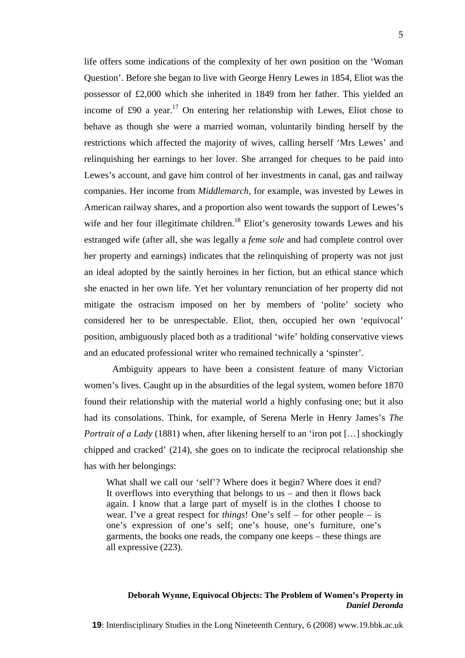life offers some indications of the complexity of her own position on the 'Woman Question'. Before she began to live with George Henry Lewes in 1854, Eliot was the possessor of £2,000 which she inherited in 1849 from her father. This yielded an income of £90 a year.<sup>17</sup> On entering her relationship with Lewes, Eliot chose to behave as though she were a married woman, voluntarily binding herself by the restrictions which affected the majority of wives, calling herself 'Mrs Lewes' and relinquishing her earnings to her lover. She arranged for cheques to be paid into

Lewes's account, and gave him control of her investments in canal, gas and railway companies. Her income from *Middlemarch*, for example, was invested by Lewes in American railway shares, and a proportion also went towards the support of Lewes's wife and her four illegitimate children.<sup>18</sup> Eliot's generosity towards Lewes and his estranged wife (after all, she was legally a *feme sole* and had complete control over her property and earnings) indicates that the relinquishing of property was not just an ideal adopted by the saintly heroines in her fiction, but an ethical stance which she enacted in her own life. Yet her voluntary renunciation of her property did not mitigate the ostracism imposed on her by members of 'polite' society who considered her to be unrespectable. Eliot, then, occupied her own 'equivocal' position, ambiguously placed both as a traditional 'wife' holding conservative views and an educated professional writer who remained technically a 'spinster'.

Ambiguity appears to have been a consistent feature of many Victorian women's lives. Caught up in the absurdities of the legal system, women before 1870 found their relationship with the material world a highly confusing one; but it also had its consolations. Think, for example, of Serena Merle in Henry James's *The Portrait of a Lady* (1881) when, after likening herself to an 'iron pot [...] shockingly chipped and cracked' (214), she goes on to indicate the reciprocal relationship she has with her belongings:

What shall we call our 'self'? Where does it begin? Where does it end? It overflows into everything that belongs to us – and then it flows back again. I know that a large part of myself is in the clothes I choose to wear. I've a great respect for *things*! One's self – for other people – is one's expression of one's self; one's house, one's furniture, one's garments, the books one reads, the company one keeps – these things are all expressive (223).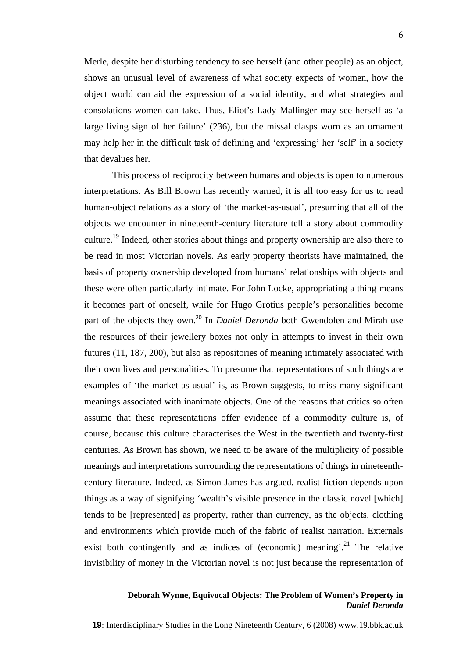Merle, despite her disturbing tendency to see herself (and other people) as an object, shows an unusual level of awareness of what society expects of women, how the object world can aid the expression of a social identity, and what strategies and consolations women can take. Thus, Eliot's Lady Mallinger may see herself as 'a large living sign of her failure' (236), but the missal clasps worn as an ornament may help her in the difficult task of defining and 'expressing' her 'self' in a society that devalues her.

This process of reciprocity between humans and objects is open to numerous interpretations. As Bill Brown has recently warned, it is all too easy for us to read human-object relations as a story of 'the market-as-usual', presuming that all of the objects we encounter in nineteenth-century literature tell a story about commodity culture.19 Indeed, other stories about things and property ownership are also there to be read in most Victorian novels. As early property theorists have maintained, the basis of property ownership developed from humans' relationships with objects and these were often particularly intimate. For John Locke, appropriating a thing means it becomes part of oneself, while for Hugo Grotius people's personalities become part of the objects they own.<sup>20</sup> In *Daniel Deronda* both Gwendolen and Mirah use the resources of their jewellery boxes not only in attempts to invest in their own futures (11, 187, 200), but also as repositories of meaning intimately associated with their own lives and personalities. To presume that representations of such things are examples of 'the market-as-usual' is, as Brown suggests, to miss many significant meanings associated with inanimate objects. One of the reasons that critics so often assume that these representations offer evidence of a commodity culture is, of course, because this culture characterises the West in the twentieth and twenty-first centuries. As Brown has shown, we need to be aware of the multiplicity of possible meanings and interpretations surrounding the representations of things in nineteenthcentury literature. Indeed, as Simon James has argued, realist fiction depends upon things as a way of signifying 'wealth's visible presence in the classic novel [which] tends to be [represented] as property, rather than currency, as the objects, clothing and environments which provide much of the fabric of realist narration. Externals exist both contingently and as indices of (economic) meaning'.<sup>21</sup> The relative invisibility of money in the Victorian novel is not just because the representation of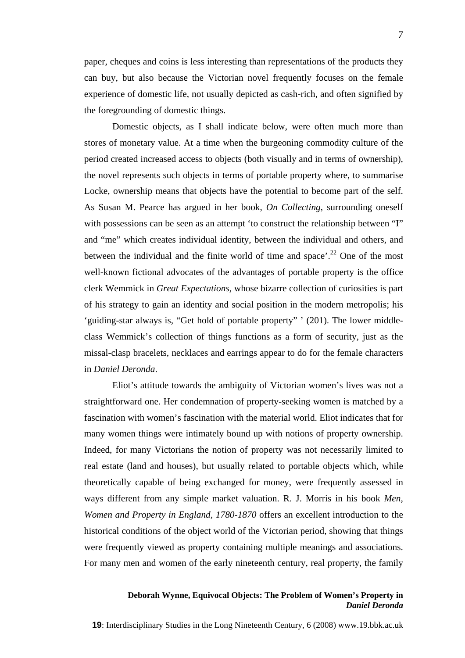paper, cheques and coins is less interesting than representations of the products they can buy, but also because the Victorian novel frequently focuses on the female experience of domestic life, not usually depicted as cash-rich, and often signified by the foregrounding of domestic things.

Domestic objects, as I shall indicate below, were often much more than stores of monetary value. At a time when the burgeoning commodity culture of the period created increased access to objects (both visually and in terms of ownership), the novel represents such objects in terms of portable property where, to summarise Locke, ownership means that objects have the potential to become part of the self. As Susan M. Pearce has argued in her book, *On Collecting*, surrounding oneself with possessions can be seen as an attempt 'to construct the relationship between "I" and "me" which creates individual identity, between the individual and others, and between the individual and the finite world of time and space'.<sup>22</sup> One of the most well-known fictional advocates of the advantages of portable property is the office clerk Wemmick in *Great Expectations*, whose bizarre collection of curiosities is part of his strategy to gain an identity and social position in the modern metropolis; his 'guiding-star always is, "Get hold of portable property" ' (201). The lower middleclass Wemmick's collection of things functions as a form of security, just as the missal-clasp bracelets, necklaces and earrings appear to do for the female characters in *Daniel Deronda*.

Eliot's attitude towards the ambiguity of Victorian women's lives was not a straightforward one. Her condemnation of property-seeking women is matched by a fascination with women's fascination with the material world. Eliot indicates that for many women things were intimately bound up with notions of property ownership. Indeed, for many Victorians the notion of property was not necessarily limited to real estate (land and houses), but usually related to portable objects which, while theoretically capable of being exchanged for money, were frequently assessed in ways different from any simple market valuation. R. J. Morris in his book *Men, Women and Property in England, 1780-1870* offers an excellent introduction to the historical conditions of the object world of the Victorian period, showing that things were frequently viewed as property containing multiple meanings and associations. For many men and women of the early nineteenth century, real property, the family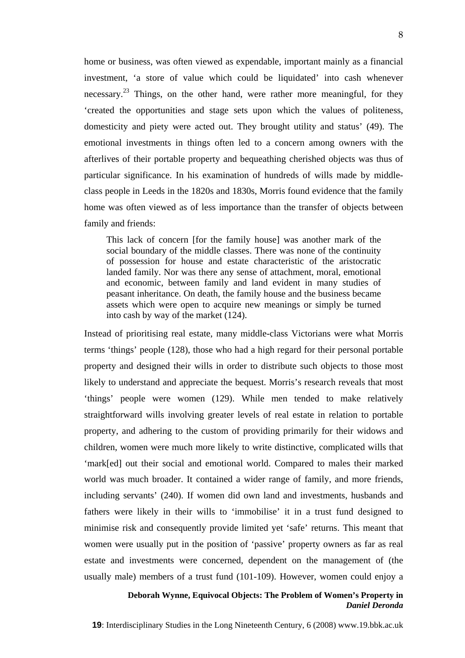home or business, was often viewed as expendable, important mainly as a financial investment, 'a store of value which could be liquidated' into cash whenever necessary.<sup>23</sup> Things, on the other hand, were rather more meaningful, for they 'created the opportunities and stage sets upon which the values of politeness, domesticity and piety were acted out. They brought utility and status' (49). The emotional investments in things often led to a concern among owners with the afterlives of their portable property and bequeathing cherished objects was thus of particular significance. In his examination of hundreds of wills made by middleclass people in Leeds in the 1820s and 1830s, Morris found evidence that the family home was often viewed as of less importance than the transfer of objects between family and friends:

This lack of concern [for the family house] was another mark of the social boundary of the middle classes. There was none of the continuity of possession for house and estate characteristic of the aristocratic landed family. Nor was there any sense of attachment, moral, emotional and economic, between family and land evident in many studies of peasant inheritance. On death, the family house and the business became assets which were open to acquire new meanings or simply be turned into cash by way of the market (124).

Instead of prioritising real estate, many middle-class Victorians were what Morris terms 'things' people (128), those who had a high regard for their personal portable property and designed their wills in order to distribute such objects to those most likely to understand and appreciate the bequest. Morris's research reveals that most 'things' people were women (129). While men tended to make relatively straightforward wills involving greater levels of real estate in relation to portable property, and adhering to the custom of providing primarily for their widows and children, women were much more likely to write distinctive, complicated wills that 'mark[ed] out their social and emotional world. Compared to males their marked world was much broader. It contained a wider range of family, and more friends, including servants' (240). If women did own land and investments, husbands and fathers were likely in their wills to 'immobilise' it in a trust fund designed to minimise risk and consequently provide limited yet 'safe' returns. This meant that women were usually put in the position of 'passive' property owners as far as real estate and investments were concerned, dependent on the management of (the usually male) members of a trust fund (101-109). However, women could enjoy a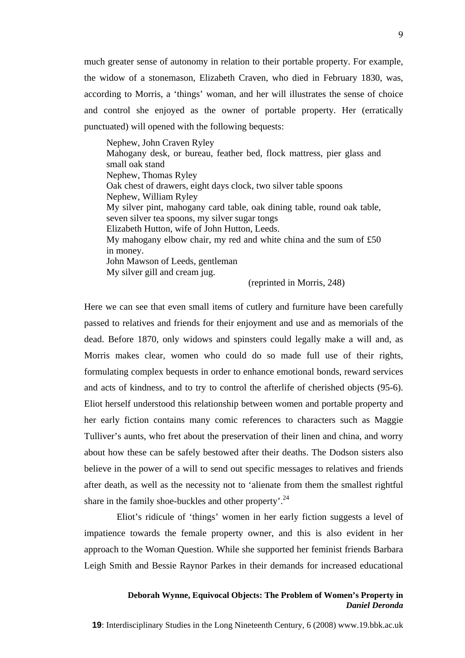much greater sense of autonomy in relation to their portable property. For example, the widow of a stonemason, Elizabeth Craven, who died in February 1830, was, according to Morris, a 'things' woman, and her will illustrates the sense of choice and control she enjoyed as the owner of portable property. Her (erratically punctuated) will opened with the following bequests:

Nephew, John Craven Ryley Mahogany desk, or bureau, feather bed, flock mattress, pier glass and small oak stand Nephew, Thomas Ryley Oak chest of drawers, eight days clock, two silver table spoons Nephew, William Ryley My silver pint, mahogany card table, oak dining table, round oak table, seven silver tea spoons, my silver sugar tongs Elizabeth Hutton, wife of John Hutton, Leeds. My mahogany elbow chair, my red and white china and the sum of £50 in money. John Mawson of Leeds, gentleman My silver gill and cream jug.

(reprinted in Morris, 248)

Here we can see that even small items of cutlery and furniture have been carefully passed to relatives and friends for their enjoyment and use and as memorials of the dead. Before 1870, only widows and spinsters could legally make a will and, as Morris makes clear, women who could do so made full use of their rights, formulating complex bequests in order to enhance emotional bonds, reward services and acts of kindness, and to try to control the afterlife of cherished objects (95-6). Eliot herself understood this relationship between women and portable property and her early fiction contains many comic references to characters such as Maggie Tulliver's aunts, who fret about the preservation of their linen and china, and worry about how these can be safely bestowed after their deaths. The Dodson sisters also believe in the power of a will to send out specific messages to relatives and friends after death, as well as the necessity not to 'alienate from them the smallest rightful share in the family shoe-buckles and other property'.<sup>24</sup>

Eliot's ridicule of 'things' women in her early fiction suggests a level of impatience towards the female property owner, and this is also evident in her approach to the Woman Question. While she supported her feminist friends Barbara Leigh Smith and Bessie Raynor Parkes in their demands for increased educational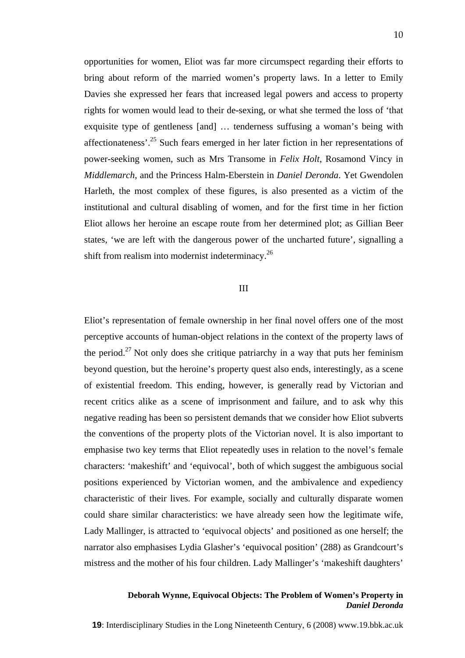opportunities for women, Eliot was far more circumspect regarding their efforts to bring about reform of the married women's property laws. In a letter to Emily Davies she expressed her fears that increased legal powers and access to property rights for women would lead to their de-sexing, or what she termed the loss of 'that exquisite type of gentleness [and] … tenderness suffusing a woman's being with affectionateness'.25 Such fears emerged in her later fiction in her representations of power-seeking women, such as Mrs Transome in *Felix Holt*, Rosamond Vincy in *Middlemarch*, and the Princess Halm-Eberstein in *Daniel Deronda*. Yet Gwendolen Harleth, the most complex of these figures, is also presented as a victim of the institutional and cultural disabling of women, and for the first time in her fiction Eliot allows her heroine an escape route from her determined plot; as Gillian Beer states, 'we are left with the dangerous power of the uncharted future', signalling a shift from realism into modernist indeterminacy.<sup>26</sup>

#### III

Eliot's representation of female ownership in her final novel offers one of the most perceptive accounts of human-object relations in the context of the property laws of the period.<sup>27</sup> Not only does she critique patriarchy in a way that puts her feminism beyond question, but the heroine's property quest also ends, interestingly, as a scene of existential freedom. This ending, however, is generally read by Victorian and recent critics alike as a scene of imprisonment and failure, and to ask why this negative reading has been so persistent demands that we consider how Eliot subverts the conventions of the property plots of the Victorian novel. It is also important to emphasise two key terms that Eliot repeatedly uses in relation to the novel's female characters: 'makeshift' and 'equivocal', both of which suggest the ambiguous social positions experienced by Victorian women, and the ambivalence and expediency characteristic of their lives. For example, socially and culturally disparate women could share similar characteristics: we have already seen how the legitimate wife, Lady Mallinger, is attracted to 'equivocal objects' and positioned as one herself; the narrator also emphasises Lydia Glasher's 'equivocal position' (288) as Grandcourt's mistress and the mother of his four children. Lady Mallinger's 'makeshift daughters'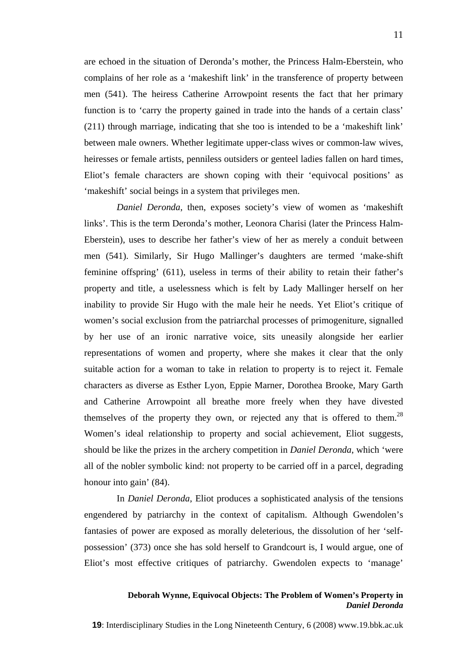are echoed in the situation of Deronda's mother, the Princess Halm-Eberstein, who complains of her role as a 'makeshift link' in the transference of property between men (541). The heiress Catherine Arrowpoint resents the fact that her primary function is to 'carry the property gained in trade into the hands of a certain class' (211) through marriage, indicating that she too is intended to be a 'makeshift link' between male owners. Whether legitimate upper-class wives or common-law wives, heiresses or female artists, penniless outsiders or genteel ladies fallen on hard times, Eliot's female characters are shown coping with their 'equivocal positions' as 'makeshift' social beings in a system that privileges men.

*Daniel Deronda*, then, exposes society's view of women as 'makeshift links'. This is the term Deronda's mother, Leonora Charisi (later the Princess Halm-Eberstein), uses to describe her father's view of her as merely a conduit between men (541). Similarly, Sir Hugo Mallinger's daughters are termed 'make-shift feminine offspring' (611), useless in terms of their ability to retain their father's property and title, a uselessness which is felt by Lady Mallinger herself on her inability to provide Sir Hugo with the male heir he needs. Yet Eliot's critique of women's social exclusion from the patriarchal processes of primogeniture, signalled by her use of an ironic narrative voice, sits uneasily alongside her earlier representations of women and property, where she makes it clear that the only suitable action for a woman to take in relation to property is to reject it. Female characters as diverse as Esther Lyon, Eppie Marner, Dorothea Brooke, Mary Garth and Catherine Arrowpoint all breathe more freely when they have divested themselves of the property they own, or rejected any that is offered to them.<sup>28</sup> Women's ideal relationship to property and social achievement, Eliot suggests, should be like the prizes in the archery competition in *Daniel Deronda*, which 'were all of the nobler symbolic kind: not property to be carried off in a parcel, degrading honour into gain' (84).

In *Daniel Deronda*, Eliot produces a sophisticated analysis of the tensions engendered by patriarchy in the context of capitalism. Although Gwendolen's fantasies of power are exposed as morally deleterious, the dissolution of her 'selfpossession' (373) once she has sold herself to Grandcourt is, I would argue, one of Eliot's most effective critiques of patriarchy. Gwendolen expects to 'manage'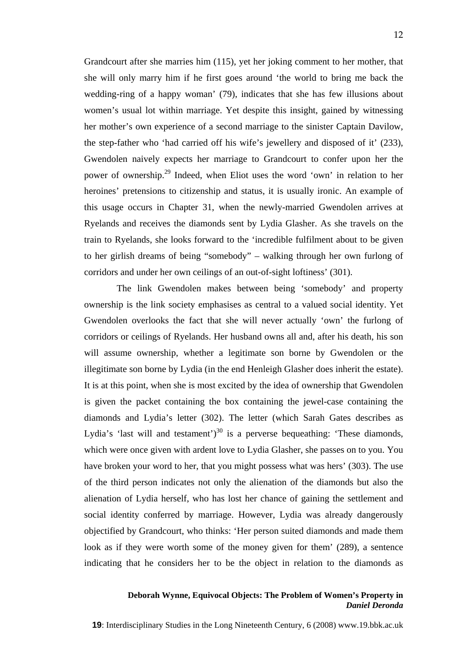Grandcourt after she marries him (115), yet her joking comment to her mother, that she will only marry him if he first goes around 'the world to bring me back the wedding-ring of a happy woman' (79), indicates that she has few illusions about women's usual lot within marriage. Yet despite this insight, gained by witnessing her mother's own experience of a second marriage to the sinister Captain Davilow, the step-father who 'had carried off his wife's jewellery and disposed of it' (233), Gwendolen naively expects her marriage to Grandcourt to confer upon her the power of ownership.29 Indeed, when Eliot uses the word 'own' in relation to her heroines' pretensions to citizenship and status, it is usually ironic. An example of this usage occurs in Chapter 31, when the newly-married Gwendolen arrives at Ryelands and receives the diamonds sent by Lydia Glasher. As she travels on the train to Ryelands, she looks forward to the 'incredible fulfilment about to be given to her girlish dreams of being "somebody" – walking through her own furlong of corridors and under her own ceilings of an out-of-sight loftiness' (301).

The link Gwendolen makes between being 'somebody' and property ownership is the link society emphasises as central to a valued social identity. Yet Gwendolen overlooks the fact that she will never actually 'own' the furlong of corridors or ceilings of Ryelands. Her husband owns all and, after his death, his son will assume ownership, whether a legitimate son borne by Gwendolen or the illegitimate son borne by Lydia (in the end Henleigh Glasher does inherit the estate). It is at this point, when she is most excited by the idea of ownership that Gwendolen is given the packet containing the box containing the jewel-case containing the diamonds and Lydia's letter (302). The letter (which Sarah Gates describes as Lydia's 'last will and testament')<sup>30</sup> is a perverse bequeathing: 'These diamonds, which were once given with ardent love to Lydia Glasher, she passes on to you. You have broken your word to her, that you might possess what was hers' (303). The use of the third person indicates not only the alienation of the diamonds but also the alienation of Lydia herself, who has lost her chance of gaining the settlement and social identity conferred by marriage. However, Lydia was already dangerously objectified by Grandcourt, who thinks: 'Her person suited diamonds and made them look as if they were worth some of the money given for them' (289), a sentence indicating that he considers her to be the object in relation to the diamonds as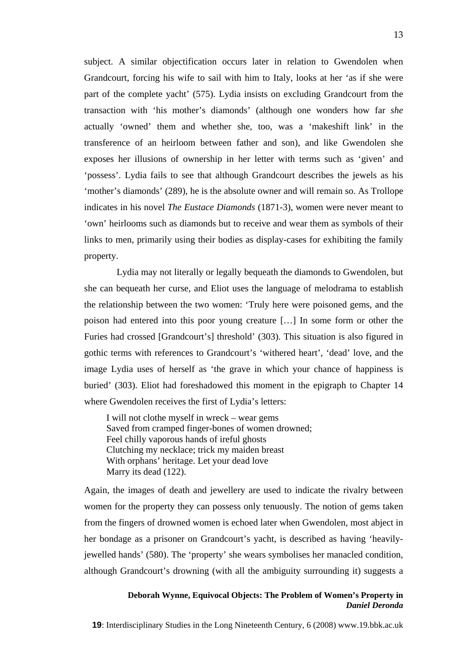subject. A similar objectification occurs later in relation to Gwendolen when Grandcourt, forcing his wife to sail with him to Italy, looks at her 'as if she were part of the complete yacht' (575). Lydia insists on excluding Grandcourt from the transaction with 'his mother's diamonds' (although one wonders how far *she* actually 'owned' them and whether she, too, was a 'makeshift link' in the transference of an heirloom between father and son), and like Gwendolen she exposes her illusions of ownership in her letter with terms such as 'given' and 'possess'. Lydia fails to see that although Grandcourt describes the jewels as his 'mother's diamonds' (289), he is the absolute owner and will remain so. As Trollope indicates in his novel *The Eustace Diamonds* (1871-3), women were never meant to 'own' heirlooms such as diamonds but to receive and wear them as symbols of their links to men, primarily using their bodies as display-cases for exhibiting the family property.

Lydia may not literally or legally bequeath the diamonds to Gwendolen, but she can bequeath her curse, and Eliot uses the language of melodrama to establish the relationship between the two women: 'Truly here were poisoned gems, and the poison had entered into this poor young creature […] In some form or other the Furies had crossed [Grandcourt's] threshold' (303). This situation is also figured in gothic terms with references to Grandcourt's 'withered heart', 'dead' love, and the image Lydia uses of herself as 'the grave in which your chance of happiness is buried' (303). Eliot had foreshadowed this moment in the epigraph to Chapter 14 where Gwendolen receives the first of Lydia's letters:

I will not clothe myself in wreck – wear gems Saved from cramped finger-bones of women drowned; Feel chilly vaporous hands of ireful ghosts Clutching my necklace; trick my maiden breast With orphans' heritage. Let your dead love Marry its dead (122).

Again, the images of death and jewellery are used to indicate the rivalry between women for the property they can possess only tenuously. The notion of gems taken from the fingers of drowned women is echoed later when Gwendolen, most abject in her bondage as a prisoner on Grandcourt's yacht, is described as having 'heavilyjewelled hands' (580). The 'property' she wears symbolises her manacled condition, although Grandcourt's drowning (with all the ambiguity surrounding it) suggests a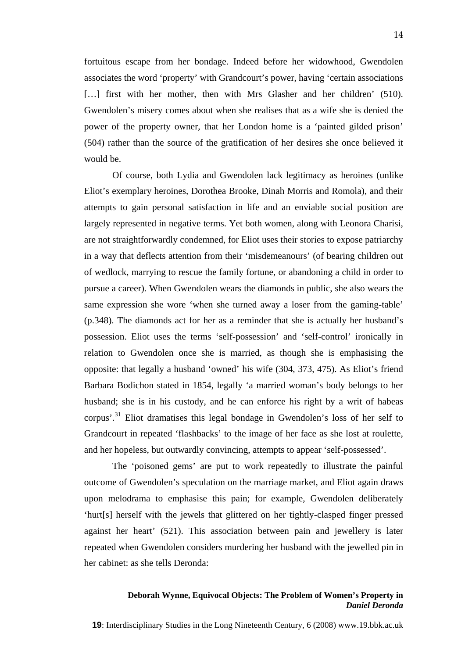fortuitous escape from her bondage. Indeed before her widowhood, Gwendolen associates the word 'property' with Grandcourt's power, having 'certain associations [...] first with her mother, then with Mrs Glasher and her children' (510). Gwendolen's misery comes about when she realises that as a wife she is denied the power of the property owner, that her London home is a 'painted gilded prison' (504) rather than the source of the gratification of her desires she once believed it would be.

Of course, both Lydia and Gwendolen lack legitimacy as heroines (unlike Eliot's exemplary heroines, Dorothea Brooke, Dinah Morris and Romola), and their attempts to gain personal satisfaction in life and an enviable social position are largely represented in negative terms. Yet both women, along with Leonora Charisi, are not straightforwardly condemned, for Eliot uses their stories to expose patriarchy in a way that deflects attention from their 'misdemeanours' (of bearing children out of wedlock, marrying to rescue the family fortune, or abandoning a child in order to pursue a career). When Gwendolen wears the diamonds in public, she also wears the same expression she wore 'when she turned away a loser from the gaming-table' (p.348). The diamonds act for her as a reminder that she is actually her husband's possession. Eliot uses the terms 'self-possession' and 'self-control' ironically in relation to Gwendolen once she is married, as though she is emphasising the opposite: that legally a husband 'owned' his wife (304, 373, 475). As Eliot's friend Barbara Bodichon stated in 1854, legally 'a married woman's body belongs to her husband; she is in his custody, and he can enforce his right by a writ of habeas corpus'.31 Eliot dramatises this legal bondage in Gwendolen's loss of her self to Grandcourt in repeated 'flashbacks' to the image of her face as she lost at roulette, and her hopeless, but outwardly convincing, attempts to appear 'self-possessed'.

The 'poisoned gems' are put to work repeatedly to illustrate the painful outcome of Gwendolen's speculation on the marriage market, and Eliot again draws upon melodrama to emphasise this pain; for example, Gwendolen deliberately 'hurt[s] herself with the jewels that glittered on her tightly-clasped finger pressed against her heart' (521). This association between pain and jewellery is later repeated when Gwendolen considers murdering her husband with the jewelled pin in her cabinet: as she tells Deronda: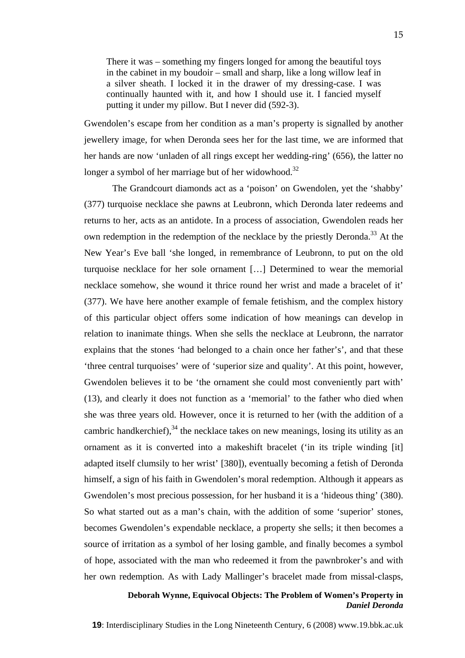There it was – something my fingers longed for among the beautiful toys in the cabinet in my boudoir – small and sharp, like a long willow leaf in a silver sheath. I locked it in the drawer of my dressing-case. I was continually haunted with it, and how I should use it. I fancied myself putting it under my pillow. But I never did (592-3).

Gwendolen's escape from her condition as a man's property is signalled by another jewellery image, for when Deronda sees her for the last time, we are informed that her hands are now 'unladen of all rings except her wedding-ring' (656), the latter no longer a symbol of her marriage but of her widowhood.<sup>32</sup>

The Grandcourt diamonds act as a 'poison' on Gwendolen, yet the 'shabby' (377) turquoise necklace she pawns at Leubronn, which Deronda later redeems and returns to her, acts as an antidote. In a process of association, Gwendolen reads her own redemption in the redemption of the necklace by the priestly Deronda.<sup>33</sup> At the New Year's Eve ball 'she longed, in remembrance of Leubronn, to put on the old turquoise necklace for her sole ornament […] Determined to wear the memorial necklace somehow, she wound it thrice round her wrist and made a bracelet of it' (377). We have here another example of female fetishism, and the complex history of this particular object offers some indication of how meanings can develop in relation to inanimate things. When she sells the necklace at Leubronn, the narrator explains that the stones 'had belonged to a chain once her father's', and that these 'three central turquoises' were of 'superior size and quality'. At this point, however, Gwendolen believes it to be 'the ornament she could most conveniently part with' (13), and clearly it does not function as a 'memorial' to the father who died when she was three years old. However, once it is returned to her (with the addition of a cambric handkerchief), $34$  the necklace takes on new meanings, losing its utility as an ornament as it is converted into a makeshift bracelet ('in its triple winding [it] adapted itself clumsily to her wrist' [380]), eventually becoming a fetish of Deronda himself, a sign of his faith in Gwendolen's moral redemption. Although it appears as Gwendolen's most precious possession, for her husband it is a 'hideous thing' (380). So what started out as a man's chain, with the addition of some 'superior' stones, becomes Gwendolen's expendable necklace, a property she sells; it then becomes a source of irritation as a symbol of her losing gamble, and finally becomes a symbol of hope, associated with the man who redeemed it from the pawnbroker's and with her own redemption. As with Lady Mallinger's bracelet made from missal-clasps,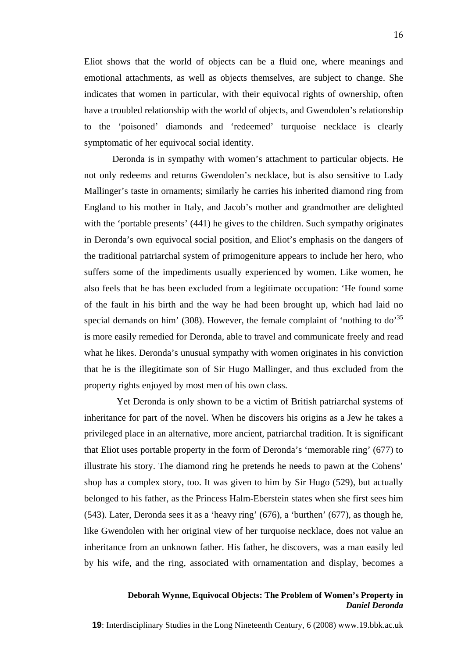Eliot shows that the world of objects can be a fluid one, where meanings and emotional attachments, as well as objects themselves, are subject to change. She indicates that women in particular, with their equivocal rights of ownership, often have a troubled relationship with the world of objects, and Gwendolen's relationship to the 'poisoned' diamonds and 'redeemed' turquoise necklace is clearly symptomatic of her equivocal social identity.

Deronda is in sympathy with women's attachment to particular objects. He not only redeems and returns Gwendolen's necklace, but is also sensitive to Lady Mallinger's taste in ornaments; similarly he carries his inherited diamond ring from England to his mother in Italy, and Jacob's mother and grandmother are delighted with the 'portable presents' (441) he gives to the children. Such sympathy originates in Deronda's own equivocal social position, and Eliot's emphasis on the dangers of the traditional patriarchal system of primogeniture appears to include her hero, who suffers some of the impediments usually experienced by women. Like women, he also feels that he has been excluded from a legitimate occupation: 'He found some of the fault in his birth and the way he had been brought up, which had laid no special demands on him' (308). However, the female complaint of 'nothing to  $\omega^{35}$ is more easily remedied for Deronda, able to travel and communicate freely and read what he likes. Deronda's unusual sympathy with women originates in his conviction that he is the illegitimate son of Sir Hugo Mallinger, and thus excluded from the property rights enjoyed by most men of his own class.

Yet Deronda is only shown to be a victim of British patriarchal systems of inheritance for part of the novel. When he discovers his origins as a Jew he takes a privileged place in an alternative, more ancient, patriarchal tradition. It is significant that Eliot uses portable property in the form of Deronda's 'memorable ring' (677) to illustrate his story. The diamond ring he pretends he needs to pawn at the Cohens' shop has a complex story, too. It was given to him by Sir Hugo (529), but actually belonged to his father, as the Princess Halm-Eberstein states when she first sees him (543). Later, Deronda sees it as a 'heavy ring' (676), a 'burthen' (677), as though he, like Gwendolen with her original view of her turquoise necklace, does not value an inheritance from an unknown father. His father, he discovers, was a man easily led by his wife, and the ring, associated with ornamentation and display, becomes a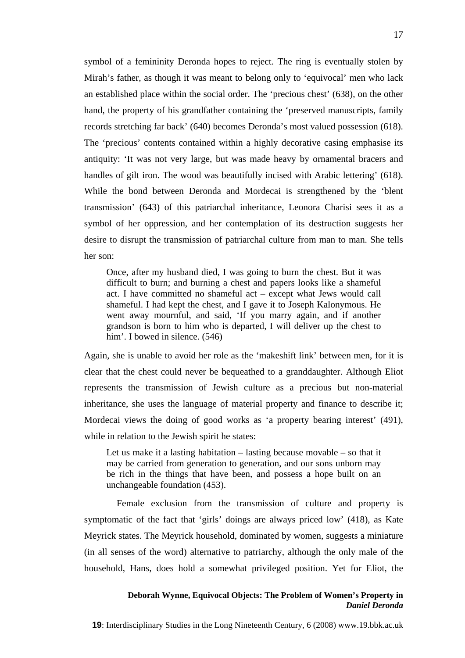symbol of a femininity Deronda hopes to reject. The ring is eventually stolen by Mirah's father, as though it was meant to belong only to 'equivocal' men who lack an established place within the social order. The 'precious chest' (638), on the other hand, the property of his grandfather containing the 'preserved manuscripts, family records stretching far back' (640) becomes Deronda's most valued possession (618). The 'precious' contents contained within a highly decorative casing emphasise its antiquity: 'It was not very large, but was made heavy by ornamental bracers and handles of gilt iron. The wood was beautifully incised with Arabic lettering' (618). While the bond between Deronda and Mordecai is strengthened by the 'blent transmission' (643) of this patriarchal inheritance, Leonora Charisi sees it as a symbol of her oppression, and her contemplation of its destruction suggests her desire to disrupt the transmission of patriarchal culture from man to man. She tells her son:

Once, after my husband died, I was going to burn the chest. But it was difficult to burn; and burning a chest and papers looks like a shameful act. I have committed no shameful act – except what Jews would call shameful. I had kept the chest, and I gave it to Joseph Kalonymous. He went away mournful, and said, 'If you marry again, and if another grandson is born to him who is departed, I will deliver up the chest to him'. I bowed in silence.  $(546)$ 

Again, she is unable to avoid her role as the 'makeshift link' between men, for it is clear that the chest could never be bequeathed to a granddaughter. Although Eliot represents the transmission of Jewish culture as a precious but non-material inheritance, she uses the language of material property and finance to describe it; Mordecai views the doing of good works as 'a property bearing interest' (491), while in relation to the Jewish spirit he states:

Let us make it a lasting habitation – lasting because movable – so that it may be carried from generation to generation, and our sons unborn may be rich in the things that have been, and possess a hope built on an unchangeable foundation (453).

Female exclusion from the transmission of culture and property is symptomatic of the fact that 'girls' doings are always priced low' (418), as Kate Meyrick states. The Meyrick household, dominated by women, suggests a miniature (in all senses of the word) alternative to patriarchy, although the only male of the household, Hans, does hold a somewhat privileged position. Yet for Eliot, the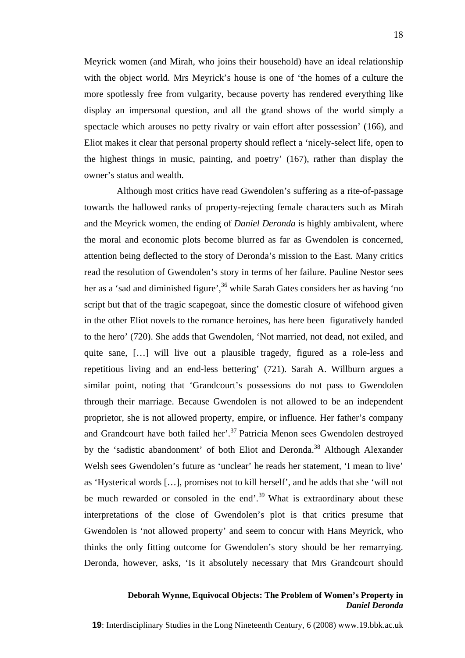Meyrick women (and Mirah, who joins their household) have an ideal relationship with the object world. Mrs Meyrick's house is one of 'the homes of a culture the more spotlessly free from vulgarity, because poverty has rendered everything like display an impersonal question, and all the grand shows of the world simply a spectacle which arouses no petty rivalry or vain effort after possession' (166), and Eliot makes it clear that personal property should reflect a 'nicely-select life, open to the highest things in music, painting, and poetry' (167), rather than display the owner's status and wealth.

Although most critics have read Gwendolen's suffering as a rite-of-passage towards the hallowed ranks of property-rejecting female characters such as Mirah and the Meyrick women, the ending of *Daniel Deronda* is highly ambivalent, where the moral and economic plots become blurred as far as Gwendolen is concerned, attention being deflected to the story of Deronda's mission to the East. Many critics read the resolution of Gwendolen's story in terms of her failure. Pauline Nestor sees her as a 'sad and diminished figure',  $36$  while Sarah Gates considers her as having 'no script but that of the tragic scapegoat, since the domestic closure of wifehood given in the other Eliot novels to the romance heroines, has here been figuratively handed to the hero' (720). She adds that Gwendolen, 'Not married, not dead, not exiled, and quite sane, […] will live out a plausible tragedy, figured as a role-less and repetitious living and an end-less bettering' (721). Sarah A. Willburn argues a similar point, noting that 'Grandcourt's possessions do not pass to Gwendolen through their marriage. Because Gwendolen is not allowed to be an independent proprietor, she is not allowed property, empire, or influence. Her father's company and Grandcourt have both failed her'.<sup>37</sup> Patricia Menon sees Gwendolen destroyed by the 'sadistic abandonment' of both Eliot and Deronda.<sup>38</sup> Although Alexander Welsh sees Gwendolen's future as 'unclear' he reads her statement, 'I mean to live' as 'Hysterical words […], promises not to kill herself', and he adds that she 'will not be much rewarded or consoled in the end'. $39$  What is extraordinary about these interpretations of the close of Gwendolen's plot is that critics presume that Gwendolen is 'not allowed property' and seem to concur with Hans Meyrick, who thinks the only fitting outcome for Gwendolen's story should be her remarrying. Deronda, however, asks, 'Is it absolutely necessary that Mrs Grandcourt should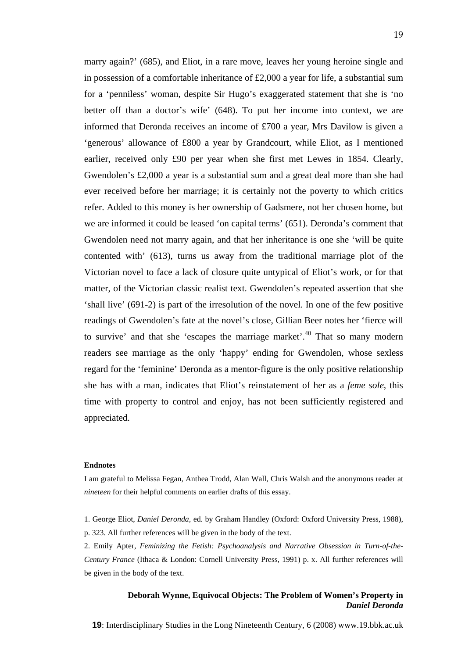marry again?' (685), and Eliot, in a rare move, leaves her young heroine single and in possession of a comfortable inheritance of £2,000 a year for life, a substantial sum for a 'penniless' woman, despite Sir Hugo's exaggerated statement that she is 'no better off than a doctor's wife' (648). To put her income into context, we are informed that Deronda receives an income of £700 a year, Mrs Davilow is given a 'generous' allowance of £800 a year by Grandcourt, while Eliot, as I mentioned earlier, received only £90 per year when she first met Lewes in 1854. Clearly, Gwendolen's £2,000 a year is a substantial sum and a great deal more than she had ever received before her marriage; it is certainly not the poverty to which critics refer. Added to this money is her ownership of Gadsmere, not her chosen home, but we are informed it could be leased 'on capital terms' (651). Deronda's comment that Gwendolen need not marry again, and that her inheritance is one she 'will be quite contented with' (613), turns us away from the traditional marriage plot of the Victorian novel to face a lack of closure quite untypical of Eliot's work, or for that matter, of the Victorian classic realist text. Gwendolen's repeated assertion that she 'shall live' (691-2) is part of the irresolution of the novel. In one of the few positive readings of Gwendolen's fate at the novel's close, Gillian Beer notes her 'fierce will to survive' and that she 'escapes the marriage market'. $40$  That so many modern readers see marriage as the only 'happy' ending for Gwendolen, whose sexless regard for the 'feminine' Deronda as a mentor-figure is the only positive relationship she has with a man, indicates that Eliot's reinstatement of her as a *feme sole*, this time with property to control and enjoy, has not been sufficiently registered and appreciated.

#### **Endnotes**

I am grateful to Melissa Fegan, Anthea Trodd, Alan Wall, Chris Walsh and the anonymous reader at *nineteen* for their helpful comments on earlier drafts of this essay.

- 1. George Eliot, *Daniel Deronda*, ed. by Graham Handley (Oxford: Oxford University Press, 1988), p. 323. All further references will be given in the body of the text.
- 2. Emily Apter, *Feminizing the Fetish: Psychoanalysis and Narrative Obsession in Turn-of-the-Century France* (Ithaca & London: Cornell University Press, 1991) p. x. All further references will be given in the body of the text.

#### **Deborah Wynne, Equivocal Objects: The Problem of Women's Property in**  *Daniel Deronda*

**19**: Interdisciplinary Studies in the Long Nineteenth Century, 6 (2008) www.19.bbk.ac.uk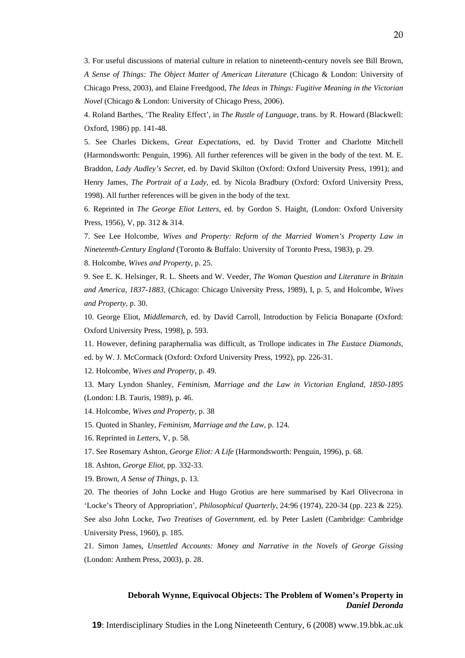3. For useful discussions of material culture in relation to nineteenth-century novels see Bill Brown, *A Sense of Things: The Object Matter of American Literature* (Chicago & London: University of Chicago Press, 2003), and Elaine Freedgood, *The Ideas in Things: Fugitive Meaning in the Victorian Novel* (Chicago & London: University of Chicago Press, 2006).

4. Roland Barthes, 'The Reality Effect', in *The Rustle of Language*, trans. by R. Howard (Blackwell: Oxford, 1986) pp. 141-48.

5. See Charles Dickens, *Great Expectations*, ed. by David Trotter and Charlotte Mitchell (Harmondsworth: Penguin, 1996). All further references will be given in the body of the text. M. E. Braddon, *Lady Audley's Secret*, ed. by David Skilton (Oxford: Oxford University Press, 1991); and Henry James, *The Portrait of a Lady*, ed. by Nicola Bradbury (Oxford: Oxford University Press, 1998). All further references will be given in the body of the text.

6. Reprinted in *The George Eliot Letters*, ed. by Gordon S. Haight, (London: Oxford University Press, 1956), V, pp. 312 & 314.

7. See Lee Holcombe, *Wives and Property: Reform of the Married Women's Property Law in Nineteenth-Century England* (Toronto & Buffalo: University of Toronto Press, 1983), p. 29.

8. Holcombe, *Wives and Property*, p. 25.

9. See E. K. Helsinger, R. L. Sheets and W. Veeder, *The Woman Question and Literature in Britain and America, 1837-1883*, (Chicago: Chicago University Press, 1989), I, p. 5, and Holcombe, *Wives and Property*, p. 30.

10. George Eliot, *Middlemarch*, ed. by David Carroll, Introduction by Felicia Bonaparte (Oxford: Oxford University Press, 1998), p. 593.

11. However, defining paraphernalia was difficult, as Trollope indicates in *The Eustace Diamonds*, ed. by W. J. McCormack (Oxford: Oxford University Press, 1992), pp. 226-31.

12. Holcombe, *Wives and Property*, p. 49.

13. Mary Lyndon Shanley, *Feminism, Marriage and the Law in Victorian England, 1850-1895* (London: I.B. Tauris, 1989), p. 46.

14. Holcombe, *Wives and Property*, p. 38

15. Quoted in Shanley, *Feminism, Marriage and the Law*, p. 124.

16. Reprinted in *Letters*, V, p. 58.

17. See Rosemary Ashton, *George Eliot: A Life* (Harmondsworth: Penguin, 1996), p. 68.

18. Ashton, *George Eliot*, pp. 332-33.

19. Brown, *A Sense of Things*, p. 13.

20. The theories of John Locke and Hugo Grotius are here summarised by Karl Olivecrona in 'Locke's Theory of Appropriation', *Philosophical Quarterly*, 24:96 (1974), 220-34 (pp. 223 & 225). See also John Locke, *Two Treatises of Government*, ed. by Peter Laslett (Cambridge: Cambridge University Press, 1960), p. 185.

21. Simon James, *Unsettled Accounts: Money and Narrative in the Novels of George Gissing* (London: Anthem Press, 2003), p. 28.

#### **Deborah Wynne, Equivocal Objects: The Problem of Women's Property in**  *Daniel Deronda*

**19**: Interdisciplinary Studies in the Long Nineteenth Century, 6 (2008) www.19.bbk.ac.uk